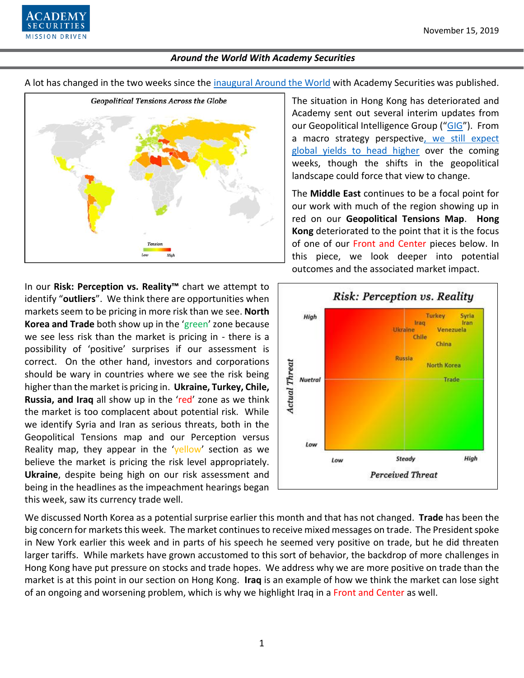

A lot has changed in the two weeks since the [inaugural Around the World](https://www.academysecurities.com/wordpress/wp-content/uploads/2019/11/Around-the-World-with-Academy-Securities.pdf) with Academy Securities was published.



In our **Risk: Perception vs. Reality™** chart we attempt to identify "**outliers**". We think there are opportunities when markets seem to be pricing in more risk than we see. **North Korea and Trade** both show up in the 'green' zone because we see less risk than the market is pricing in - there is a possibility of 'positive' surprises if our assessment is correct. On the other hand, investors and corporations should be wary in countries where we see the risk being higher than the market is pricing in. **Ukraine, Turkey, Chile, Russia, and Iraq** all show up in the 'red' zone as we think the market is too complacent about potential risk. While we identify Syria and Iran as serious threats, both in the Geopolitical Tensions map and our Perception versus Reality map, they appear in the 'yellow' section as we believe the market is pricing the risk level appropriately. **Ukraine**, despite being high on our risk assessment and being in the headlines as the impeachment hearings began this week, saw its currency trade well.

The situation in Hong Kong has deteriorated and Academy sent out several interim updates from our Geopolitical Intelligence Group ("[GIG](https://www.academysecurities.com/geopolitical/geopolitical-intelligence-group/)"). From a macro strategy perspectiv[e, we still expect](https://www.academysecurities.com/wordpress/wp-content/uploads/2019/11/Rates-Cyclicals-CLOs-and-Leveraged-Loan-Madness-Part-I.pdf)  [global yields to head higher](https://www.academysecurities.com/wordpress/wp-content/uploads/2019/11/Rates-Cyclicals-CLOs-and-Leveraged-Loan-Madness-Part-I.pdf) over the coming weeks, though the shifts in the geopolitical landscape could force that view to change.

The **Middle East** continues to be a focal point for our work with much of the region showing up in red on our **Geopolitical Tensions Map**. **Hong Kong** deteriorated to the point that it is the focus of one of our Front and Center pieces below. In this piece, we look deeper into potential outcomes and the associated market impact.



We discussed North Korea as a potential surprise earlier this month and that has not changed. **Trade** has been the big concern for markets this week. The market continues to receive mixed messages on trade. The President spoke in New York earlier this week and in parts of his speech he seemed very positive on trade, but he did threaten larger tariffs. While markets have grown accustomed to this sort of behavior, the backdrop of more challenges in Hong Kong have put pressure on stocks and trade hopes. We address why we are more positive on trade than the market is at this point in our section on Hong Kong. **Iraq** is an example of how we think the market can lose sight of an ongoing and worsening problem, which is why we highlight Iraq in a Front and Center as well.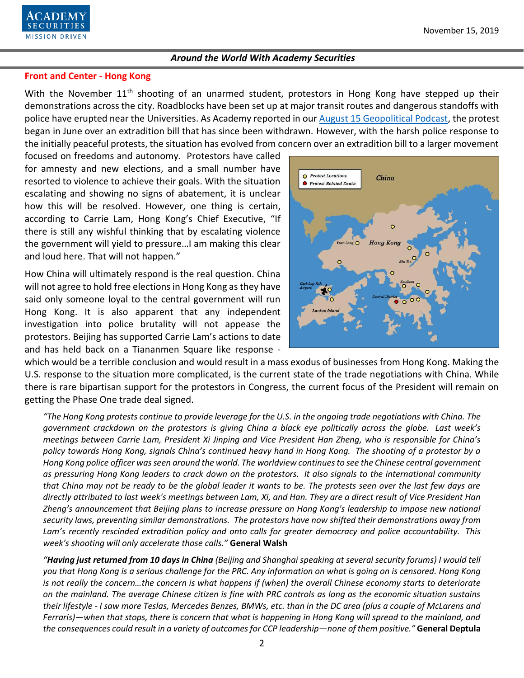

#### **Front and Center - Hong Kong**

With the November 11<sup>th</sup> shooting of an unarmed student, protestors in Hong Kong have stepped up their demonstrations across the city. Roadblocks have been set up at major transit routes and dangerous standoffs with police have erupted near the Universities. As Academy reported in our [August 15 Geopolitical Podcast,](https://www.academysecurities.com/vol-29-impact-protests-hong-kong/) the protest began in June over an extradition bill that has since been withdrawn. However, with the harsh police response to the initially peaceful protests, the situation has evolved from concern over an extradition bill to a larger movement

focused on freedoms and autonomy. Protestors have called for amnesty and new elections, and a small number have resorted to violence to achieve their goals. With the situation escalating and showing no signs of abatement, it is unclear how this will be resolved. However, one thing is certain, according to Carrie Lam, Hong Kong's Chief Executive, "If there is still any wishful thinking that by escalating violence the government will yield to pressure…I am making this clear and loud here. That will not happen."

How China will ultimately respond is the real question. China will not agree to hold free elections in Hong Kong as they have said only someone loyal to the central government will run Hong Kong. It is also apparent that any independent investigation into police brutality will not appease the protestors. Beijing has supported Carrie Lam's actions to date and has held back on a Tiananmen Square like response -



which would be a terrible conclusion and would result in a mass exodus of businesses from Hong Kong. Making the U.S. response to the situation more complicated, is the current state of the trade negotiations with China. While there is rare bipartisan support for the protestors in Congress, the current focus of the President will remain on getting the Phase One trade deal signed.

*"The Hong Kong protests continue to provide leverage for the U.S. in the ongoing trade negotiations with China. The government crackdown on the protestors is giving China a black eye politically across the globe. Last week's meetings between Carrie Lam, President Xi Jinping and Vice President Han Zheng, who is responsible for China's policy towards Hong Kong, signals China's continued heavy hand in Hong Kong. The shooting of a protestor by a Hong Kong police officer was seen around the world. The worldview continues to see the Chinese central government as pressuring Hong Kong leaders to crack down on the protestors. It also signals to the international community that China may not be ready to be the global leader it wants to be. The protests seen over the last few days are directly attributed to last week's meetings between Lam, Xi, and Han. They are a direct result of Vice President Han Zheng's announcement that Beijing plans to increase pressure on Hong Kong's leadership to impose new national security laws, preventing similar demonstrations. The protestors have now shifted their demonstrations away from Lam's recently rescinded extradition policy and onto calls for greater democracy and police accountability. This week's shooting will only accelerate those calls."* **General Walsh**

*"Having just returned from 10 days in China (Beijing and Shanghai speaking at several security forums) I would tell you that Hong Kong is a serious challenge for the PRC. Any information on what is going on is censored. Hong Kong is not really the concern…the concern is what happens if (when) the overall Chinese economy starts to deteriorate on the mainland. The average Chinese citizen is fine with PRC controls as long as the economic situation sustains their lifestyle - I saw more Teslas, Mercedes Benzes, BMWs, etc. than in the DC area (plus a couple of McLarens and Ferraris)—when that stops, there is concern that what is happening in Hong Kong will spread to the mainland, and the consequences could result in a variety of outcomes for CCP leadership—none of them positive."* **General Deptula**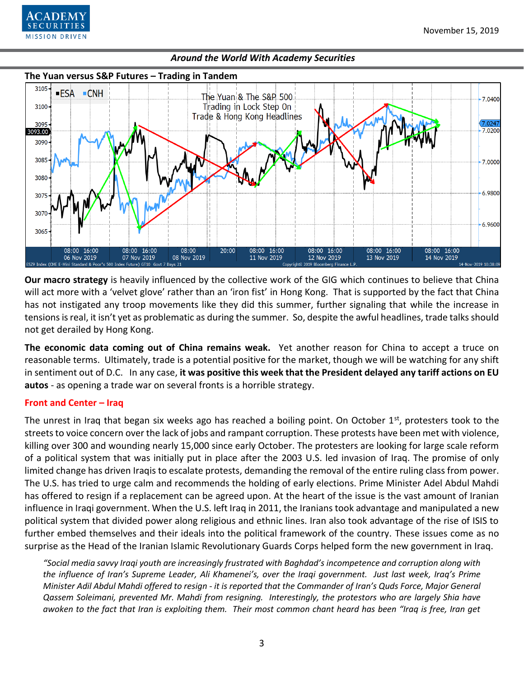

#### **The Yuan versus S&P Futures – Trading in Tandem** 3105 ■ESA ■CNH The Yuan & The S&P 500 7.0400  $3100 -$ Trading in Lock Step On Trade & Hong Kong Headlines  $(7.024)$ 3095 093.00 7.0200 3090 3085 7.0000 3080 6.9800 3075 3070 6.9600 3065  $20:00$ 08:00 16:00 08:00 16:00 08:00 16:00 08:00 16:00 08:00 16:00 08:00 08:00 16:00 14 Nov 2019 06 Nov 2019 07 Nov 2019 08 Nov 2019 11 Nov 2019 12 Nov 2019 13 Nov 2019

*Around the World With Academy Securities*

**Our macro strategy** is heavily influenced by the collective work of the GIG which continues to believe that China will act more with a 'velvet glove' rather than an 'iron fist' in Hong Kong. That is supported by the fact that China has not instigated any troop movements like they did this summer, further signaling that while the increase in tensions is real, it isn't yet as problematic as during the summer. So, despite the awful headlines, trade talks should not get derailed by Hong Kong.

**The economic data coming out of China remains weak.** Yet another reason for China to accept a truce on reasonable terms. Ultimately, trade is a potential positive for the market, though we will be watching for any shift in sentiment out of D.C. In any case, **it was positive this week that the President delayed any tariff actions on EU autos** - as opening a trade war on several fronts is a horrible strategy.

# **Front and Center – Iraq**

The unrest in Iraq that began six weeks ago has reached a boiling point. On October  $1<sup>st</sup>$ , protesters took to the streets to voice concern over the lack of jobs and rampant corruption. These protests have been met with violence, killing over 300 and wounding nearly 15,000 since early October. The protesters are looking for large scale reform of a political system that was initially put in place after the 2003 U.S. led invasion of Iraq. The promise of only limited change has driven Iraqis to escalate protests, demanding the removal of the entire ruling class from power. The U.S. has tried to urge calm and recommends the holding of early elections. Prime Minister Adel Abdul Mahdi has offered to resign if a replacement can be agreed upon. At the heart of the issue is the vast amount of Iranian influence in Iraqi government. When the U.S. left Iraq in 2011, the Iranians took advantage and manipulated a new political system that divided power along religious and ethnic lines. Iran also took advantage of the rise of ISIS to further embed themselves and their ideals into the political framework of the country. These issues come as no surprise as the Head of the Iranian Islamic Revolutionary Guards Corps helped form the new government in Iraq.

*"Social media savvy Iraqi youth are increasingly frustrated with Baghdad's incompetence and corruption along with the influence of Iran's Supreme Leader, Ali Khamenei's, over the Iraqi government. Just last week, Iraq's Prime Minister Adil Abdul Mahdi offered to resign - it is reported that the Commander of Iran's Quds Force, Major General Qassem Soleimani, prevented Mr. Mahdi from resigning. Interestingly, the protestors who are largely Shia have awoken to the fact that Iran is exploiting them. Their most common chant heard has been "Iraq is free, Iran get*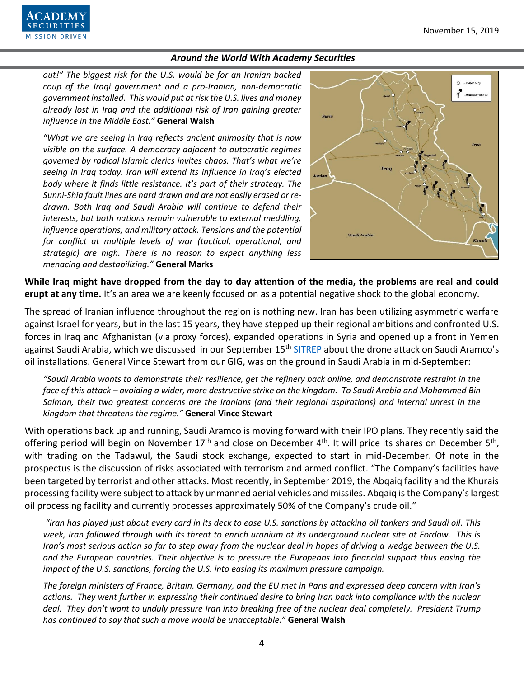

*out!" The biggest risk for the U.S. would be for an Iranian backed coup of the Iraqi government and a pro-Iranian, non-democratic government installed. This would put at risk the U.S. lives and money already lost in Iraq and the additional risk of Iran gaining greater influence in the Middle East."* **General Walsh**

*"What we are seeing in Iraq reflects ancient animosity that is now visible on the surface. A democracy adjacent to autocratic regimes governed by radical Islamic clerics invites chaos. That's what we're seeing in Iraq today. Iran will extend its influence in Iraq's elected body where it finds little resistance. It's part of their strategy. The Sunni-Shia fault lines are hard drawn and are not easily erased or redrawn. Both Iraq and Saudi Arabia will continue to defend their interests, but both nations remain vulnerable to external meddling, influence operations, and military attack. Tensions and the potential for conflict at multiple levels of war (tactical, operational, and strategic) are high. There is no reason to expect anything less menacing and destabilizing."* **General Marks**



**While Iraq might have dropped from the day to day attention of the media, the problems are real and could erupt at any time.** It's an area we are keenly focused on as a potential negative shock to the global economy.

The spread of Iranian influence throughout the region is nothing new. Iran has been utilizing asymmetric warfare against Israel for years, but in the last 15 years, they have stepped up their regional ambitions and confronted U.S. forces in Iraq and Afghanistan (via proxy forces), expanded operations in Syria and opened up a front in Yemen against Saudi Arabia, which we discussed in our September 15<sup>th</sup> [SITREP](https://www.academysecurities.com/drone-attack-saudi-oil/) about the drone attack on Saudi Aramco's oil installations. General Vince Stewart from our GIG, was on the ground in Saudi Arabia in mid-September:

*"Saudi Arabia wants to demonstrate their resilience, get the refinery back online, and demonstrate restraint in the face of this attack – avoiding a wider, more destructive strike on the kingdom. To Saudi Arabia and Mohammed Bin Salman, their two greatest concerns are the Iranians (and their regional aspirations) and internal unrest in the kingdom that threatens the regime."* **General Vince Stewart**

With operations back up and running, Saudi Aramco is moving forward with their IPO plans. They recently said the offering period will begin on November  $17<sup>th</sup>$  and close on December 4<sup>th</sup>. It will price its shares on December 5<sup>th</sup>, with trading on the Tadawul, the Saudi stock exchange, expected to start in mid-December. Of note in the prospectus is the discussion of risks associated with terrorism and armed conflict. "The Company's facilities have been targeted by terrorist and other attacks. Most recently, in September 2019, the Abqaiq facility and the Khurais processing facility were subject to attack by unmanned aerial vehicles and missiles. Abqaiq is the Company's largest oil processing facility and currently processes approximately 50% of the Company's crude oil."

*"Iran has played just about every card in its deck to ease U.S. sanctions by attacking oil tankers and Saudi oil. This week, Iran followed through with its threat to enrich uranium at its underground nuclear site at Fordow. This is Iran's most serious action so far to step away from the nuclear deal in hopes of driving a wedge between the U.S. and the European countries. Their objective is to pressure the Europeans into financial support thus easing the impact of the U.S. sanctions, forcing the U.S. into easing its maximum pressure campaign.*

*The foreign ministers of France, Britain, Germany, and the EU met in Paris and expressed deep concern with Iran's actions. They went further in expressing their continued desire to bring Iran back into compliance with the nuclear deal. They don't want to unduly pressure Iran into breaking free of the nuclear deal completely. President Trump has continued to say that such a move would be unacceptable."* **General Walsh**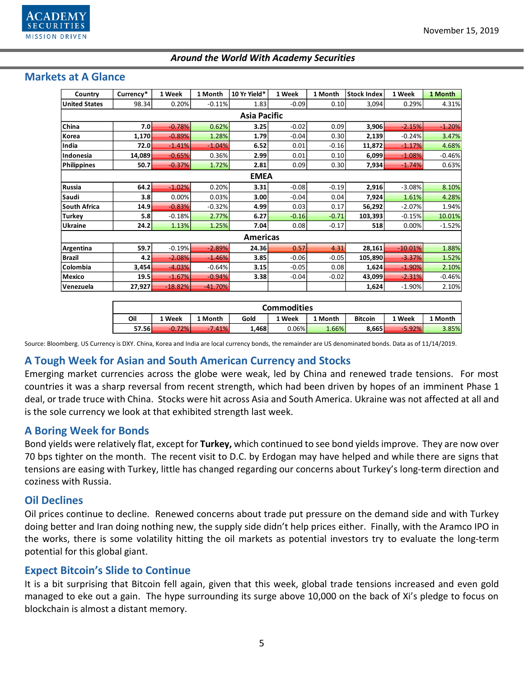

| Country              | Currency* | 1 Week    | 1 Month   | 10 Yr Yield* | 1 Week  | 1 Month | <b>Stock Index</b> | 1 Week    | 1 Month  |  |  |  |
|----------------------|-----------|-----------|-----------|--------------|---------|---------|--------------------|-----------|----------|--|--|--|
| <b>United States</b> | 98.34     | 0.20%     | $-0.11%$  | 1.83         | $-0.09$ | 0.10    | 3,094              | 0.29%     | 4.31%    |  |  |  |
| <b>Asia Pacific</b>  |           |           |           |              |         |         |                    |           |          |  |  |  |
| China                | 7.0       | $-0.78%$  | 0.62%     | 3.25         | $-0.02$ | 0.09    | 3,906              | $-2.15%$  | $-1.20%$ |  |  |  |
| Korea                | 1,170     | $-0.89%$  | 1.28%     | 1.79         | $-0.04$ | 0.30    | 2,139              | $-0.24%$  | 3.47%    |  |  |  |
| India                | 72.0      | $-1.41%$  | $-1.04%$  | 6.52         | 0.01    | $-0.16$ | 11,872             | $-1.17%$  | 4.68%    |  |  |  |
| Indonesia            | 14,089    | $-0.65%$  | 0.36%     | 2.99         | 0.01    | 0.10    | 6,099              | $-1.08%$  | $-0.46%$ |  |  |  |
| <b>Philippines</b>   | 50.7      | $-0.37%$  | 1.72%     | 2.81         | 0.09    | 0.30    | 7,934              | $-1.74%$  | 0.63%    |  |  |  |
| <b>EMEA</b>          |           |           |           |              |         |         |                    |           |          |  |  |  |
| Russia               | 64.2      | $-1.02%$  | 0.20%     | 3.31         | $-0.08$ | $-0.19$ | 2,916              | $-3.08%$  | 8.10%    |  |  |  |
| Saudi                | 3.8       | 0.00%     | 0.03%     | 3.00         | $-0.04$ | 0.04    | 7,924              | 1.61%     | 4.28%    |  |  |  |
| <b>South Africa</b>  | 14.9      | $-0.83%$  | $-0.32%$  | 4.99         | 0.03    | 0.17    | 56,292             | $-2.07%$  | 1.94%    |  |  |  |
| <b>Turkey</b>        | 5.8       | $-0.18%$  | 2.77%     | 6.27         | $-0.16$ | $-0.71$ | 103,393            | $-0.15%$  | 10.01%   |  |  |  |
| <b>Ukraine</b>       | 24.2      | 1.13%     | 1.25%     | 7.04         | 0.08    | $-0.17$ | 518                | 0.00%     | $-1.52%$ |  |  |  |
| <b>Americas</b>      |           |           |           |              |         |         |                    |           |          |  |  |  |
| Argentina            | 59.7      | $-0.19%$  | $-2.89%$  | 24.36        | 0.57    | 4.31    | 28,161             | $-10.01%$ | 1.88%    |  |  |  |
| <b>Brazil</b>        | 4.2       | $-2.08%$  | $-1.46%$  | 3.85         | $-0.06$ | $-0.05$ | 105,890            | $-3.37%$  | 1.52%    |  |  |  |
| Colombia             | 3,454     | $-4.03%$  | $-0.64%$  | 3.15         | $-0.05$ | 0.08    | 1,624              | $-1.90%$  | 2.10%    |  |  |  |
| Mexico               | 19.5      | $-1.67%$  | $-0.94%$  | 3.38         | $-0.04$ | $-0.02$ | 43,099             | $-2.31%$  | $-0.46%$ |  |  |  |
| Venezuela            | 27,927    | $-18.82%$ | $-41.70%$ |              |         |         | 1,624              | $-1.90%$  | 2.10%    |  |  |  |

# **Markets at A Glance**

| <b>Commodities</b> |          |          |       |          |         |         |          |         |  |  |  |
|--------------------|----------|----------|-------|----------|---------|---------|----------|---------|--|--|--|
| Oil                | 1 Week   | 1 Month  | Gold  | 1 Week   | 1 Month | Bitcoin | 1 Week   | 1 Month |  |  |  |
| 57.56              | $-0.72%$ | $-7.41%$ | 1.468 | $0.06\%$ | 1.66%   | 8.665   | $-5.92%$ | 3.85%   |  |  |  |

Source: Bloomberg. US Currency is DXY. China, Korea and India are local currency bonds, the remainder are US denominated bonds. Data as of 11/14/2019.

# **A Tough Week for Asian and South American Currency and Stocks**

Emerging market currencies across the globe were weak, led by China and renewed trade tensions. For most countries it was a sharp reversal from recent strength, which had been driven by hopes of an imminent Phase 1 deal, or trade truce with China. Stocks were hit across Asia and South America. Ukraine was not affected at all and is the sole currency we look at that exhibited strength last week.

# **A Boring Week for Bonds**

Bond yields were relatively flat, except for **Turkey,** which continued to see bond yields improve. They are now over 70 bps tighter on the month. The recent visit to D.C. by Erdogan may have helped and while there are signs that tensions are easing with Turkey, little has changed regarding our concerns about Turkey's long-term direction and coziness with Russia.

# **Oil Declines**

Oil prices continue to decline. Renewed concerns about trade put pressure on the demand side and with Turkey doing better and Iran doing nothing new, the supply side didn't help prices either. Finally, with the Aramco IPO in the works, there is some volatility hitting the oil markets as potential investors try to evaluate the long-term potential for this global giant.

# **Expect Bitcoin's Slide to Continue**

It is a bit surprising that Bitcoin fell again, given that this week, global trade tensions increased and even gold managed to eke out a gain. The hype surrounding its surge above 10,000 on the back of Xi's pledge to focus on blockchain is almost a distant memory.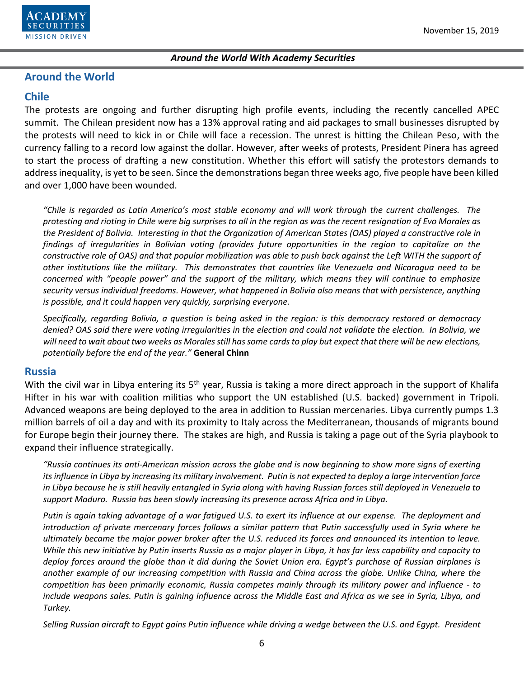

# **Around the World**

# **Chile**

The protests are ongoing and further disrupting high profile events, including the recently cancelled APEC summit. The Chilean president now has a 13% approval rating and aid packages to small businesses disrupted by the protests will need to kick in or Chile will face a recession. The unrest is hitting the Chilean Peso, with the currency falling to a record low against the dollar. However, after weeks of protests, President Pinera has agreed to start the process of drafting a new constitution. Whether this effort will satisfy the protestors demands to address inequality, is yet to be seen. Since the demonstrations began three weeks ago, five people have been killed and over 1,000 have been wounded.

*"Chile is regarded as Latin America's most stable economy and will work through the current challenges. The protesting and rioting in Chile were big surprises to all in the region as was the recent resignation of Evo Morales as the President of Bolivia. Interesting in that the Organization of American States (OAS) played a constructive role in findings of irregularities in Bolivian voting (provides future opportunities in the region to capitalize on the constructive role of OAS) and that popular mobilization was able to push back against the Left WITH the support of other institutions like the military. This demonstrates that countries like Venezuela and Nicaragua need to be concerned with "people power" and the support of the military, which means they will continue to emphasize security versus individual freedoms. However, what happened in Bolivia also means that with persistence, anything is possible, and it could happen very quickly, surprising everyone.* 

*Specifically, regarding Bolivia, a question is being asked in the region: is this democracy restored or democracy denied? OAS said there were voting irregularities in the election and could not validate the election. In Bolivia, we will need to wait about two weeks as Morales still has some cards to play but expect that there will be new elections, potentially before the end of the year."* **General Chinn** 

#### **Russia**

With the civil war in Libya entering its 5<sup>th</sup> year, Russia is taking a more direct approach in the support of Khalifa Hifter in his war with coalition militias who support the UN established (U.S. backed) government in Tripoli. Advanced weapons are being deployed to the area in addition to Russian mercenaries. Libya currently pumps 1.3 million barrels of oil a day and with its proximity to Italy across the Mediterranean, thousands of migrants bound for Europe begin their journey there. The stakes are high, and Russia is taking a page out of the Syria playbook to expand their influence strategically.

*"Russia continues its anti-American mission across the globe and is now beginning to show more signs of exerting its influence in Libya by increasing its military involvement. Putin is not expected to deploy a large intervention force in Libya because he is still heavily entangled in Syria along with having Russian forces still deployed in Venezuela to support Maduro. Russia has been slowly increasing its presence across Africa and in Libya.* 

*Putin is again taking advantage of a war fatigued U.S. to exert its influence at our expense. The deployment and introduction of private mercenary forces follows a similar pattern that Putin successfully used in Syria where he ultimately became the major power broker after the U.S. reduced its forces and announced its intention to leave. While this new initiative by Putin inserts Russia as a major player in Libya, it has far less capability and capacity to deploy forces around the globe than it did during the Soviet Union era. Egypt's purchase of Russian airplanes is another example of our increasing competition with Russia and China across the globe. Unlike China, where the competition has been primarily economic, Russia competes mainly through its military power and influence - to include weapons sales. Putin is gaining influence across the Middle East and Africa as we see in Syria, Libya, and Turkey.* 

*Selling Russian aircraft to Egypt gains Putin influence while driving a wedge between the U.S. and Egypt. President*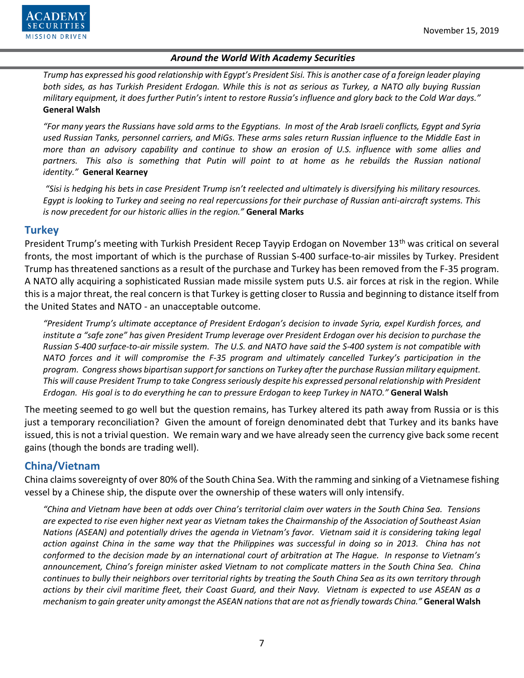

*Trump has expressed his good relationship with Egypt's President Sisi. This is another case of a foreign leader playing both sides, as has Turkish President Erdogan. While this is not as serious as Turkey, a NATO ally buying Russian military equipment, it does further Putin's intent to restore Russia's influence and glory back to the Cold War days."* **General Walsh**

*"For many years the Russians have sold arms to the Egyptians. In most of the Arab Israeli conflicts, Egypt and Syria used Russian Tanks, personnel carriers, and MiGs. These arms sales return Russian influence to the Middle East in more than an advisory capability and continue to show an erosion of U.S. influence with some allies and*  partners. This also is something that Putin will point to at home as he rebuilds the Russian national *identity."* **General Kearney**

*"Sisi is hedging his bets in case President Trump isn't reelected and ultimately is diversifying his military resources. Egypt is looking to Turkey and seeing no real repercussions for their purchase of Russian anti-aircraft systems. This is now precedent for our historic allies in the region."* **General Marks**

# **Turkey**

President Trump's meeting with Turkish President Recep Tayyip Erdogan on November 13<sup>th</sup> was critical on several fronts, the most important of which is the purchase of Russian S-400 surface-to-air missiles by Turkey. President Trump has threatened sanctions as a result of the purchase and Turkey has been removed from the F-35 program. A NATO ally acquiring a sophisticated Russian made missile system puts U.S. air forces at risk in the region. While this is a major threat, the real concern is that Turkey is getting closer to Russia and beginning to distance itself from the United States and NATO - an unacceptable outcome.

*"President Trump's ultimate acceptance of President Erdogan's decision to invade Syria, expel Kurdish forces, and institute a "safe zone" has given President Trump leverage over President Erdogan over his decision to purchase the Russian S-400 surface-to-air missile system. The U.S. and NATO have said the S-400 system is not compatible with NATO forces and it will compromise the F-35 program and ultimately cancelled Turkey's participation in the program. Congress shows bipartisan support for sanctions on Turkey after the purchase Russian military equipment. This will cause President Trump to take Congress seriously despite his expressed personal relationship with President Erdogan. His goal is to do everything he can to pressure Erdogan to keep Turkey in NATO."* **General Walsh**

The meeting seemed to go well but the question remains, has Turkey altered its path away from Russia or is this just a temporary reconciliation? Given the amount of foreign denominated debt that Turkey and its banks have issued, this is not a trivial question. We remain wary and we have already seen the currency give back some recent gains (though the bonds are trading well).

# **China/Vietnam**

China claims sovereignty of over 80% of the South China Sea. With the ramming and sinking of a Vietnamese fishing vessel by a Chinese ship, the dispute over the ownership of these waters will only intensify.

*"China and Vietnam have been at odds over China's territorial claim over waters in the South China Sea. Tensions are expected to rise even higher next year as Vietnam takes the Chairmanship of the Association of Southeast Asian Nations (ASEAN) and potentially drives the agenda in Vietnam's favor. Vietnam said it is considering taking legal action against China in the same way that the Philippines was successful in doing so in 2013. China has not conformed to the decision made by an international court of arbitration at The Hague. In response to Vietnam's announcement, China's foreign minister asked Vietnam to not complicate matters in the South China Sea. China continues to bully their neighbors over territorial rights by treating the South China Sea as its own territory through actions by their civil maritime fleet, their Coast Guard, and their Navy. Vietnam is expected to use ASEAN as a mechanism to gain greater unity amongst the ASEAN nations that are not as friendly towards China."* **General Walsh**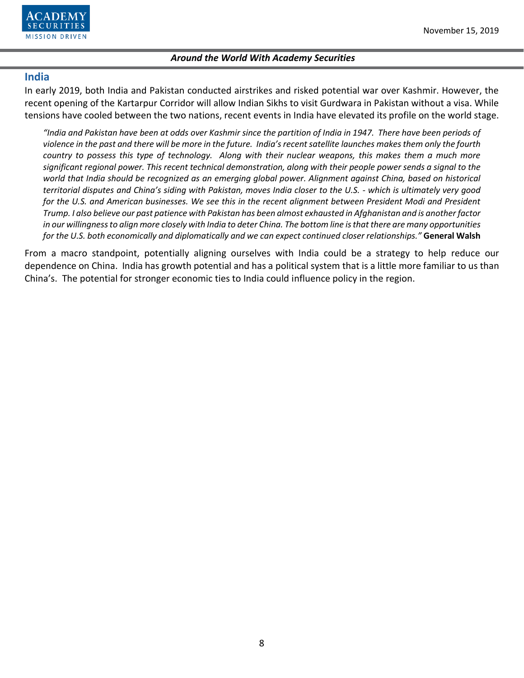

#### **India**

In early 2019, both India and Pakistan conducted airstrikes and risked potential war over Kashmir. However, the recent opening of the Kartarpur Corridor will allow Indian Sikhs to visit Gurdwara in Pakistan without a visa. While tensions have cooled between the two nations, recent events in India have elevated its profile on the world stage.

*"India and Pakistan have been at odds over Kashmir since the partition of India in 1947. There have been periods of violence in the past and there will be more in the future. India's recent satellite launches makes them only the fourth country to possess this type of technology. Along with their nuclear weapons, this makes them a much more significant regional power. This recent technical demonstration, along with their people power sends a signal to the world that India should be recognized as an emerging global power. Alignment against China, based on historical territorial disputes and China's siding with Pakistan, moves India closer to the U.S. - which is ultimately very good for the U.S. and American businesses. We see this in the recent alignment between President Modi and President Trump. I also believe our past patience with Pakistan has been almost exhausted in Afghanistan and is another factor in our willingness to align more closely with India to deter China. The bottom line is that there are many opportunities for the U.S. both economically and diplomatically and we can expect continued closer relationships."* **General Walsh**

From a macro standpoint, potentially aligning ourselves with India could be a strategy to help reduce our dependence on China. India has growth potential and has a political system that is a little more familiar to us than China's. The potential for stronger economic ties to India could influence policy in the region.